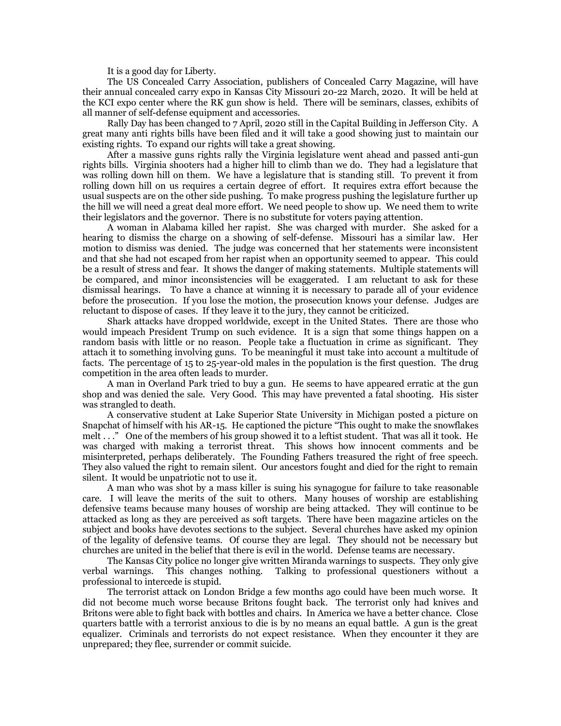It is a good day for Liberty.

The US Concealed Carry Association, publishers of Concealed Carry Magazine, will have their annual concealed carry expo in Kansas City Missouri 20-22 March, 2020. It will be held at the KCI expo center where the RK gun show is held. There will be seminars, classes, exhibits of all manner of self-defense equipment and accessories.

Rally Day has been changed to 7 April, 2020 still in the Capital Building in Jefferson City. A great many anti rights bills have been filed and it will take a good showing just to maintain our existing rights. To expand our rights will take a great showing.

After a massive guns rights rally the Virginia legislature went ahead and passed anti-gun rights bills. Virginia shooters had a higher hill to climb than we do. They had a legislature that was rolling down hill on them. We have a legislature that is standing still. To prevent it from rolling down hill on us requires a certain degree of effort. It requires extra effort because the usual suspects are on the other side pushing. To make progress pushing the legislature further up the hill we will need a great deal more effort. We need people to show up. We need them to write their legislators and the governor. There is no substitute for voters paying attention.

A woman in Alabama killed her rapist. She was charged with murder. She asked for a hearing to dismiss the charge on a showing of self-defense. Missouri has a similar law. Her motion to dismiss was denied. The judge was concerned that her statements were inconsistent and that she had not escaped from her rapist when an opportunity seemed to appear. This could be a result of stress and fear. It shows the danger of making statements. Multiple statements will be compared, and minor inconsistencies will be exaggerated. I am reluctant to ask for these dismissal hearings. To have a chance at winning it is necessary to parade all of your evidence before the prosecution. If you lose the motion, the prosecution knows your defense. Judges are reluctant to dispose of cases. If they leave it to the jury, they cannot be criticized.

Shark attacks have dropped worldwide, except in the United States. There are those who would impeach President Trump on such evidence. It is a sign that some things happen on a random basis with little or no reason. People take a fluctuation in crime as significant. They attach it to something involving guns. To be meaningful it must take into account a multitude of facts. The percentage of 15 to 25-year-old males in the population is the first question. The drug competition in the area often leads to murder.

A man in Overland Park tried to buy a gun. He seems to have appeared erratic at the gun shop and was denied the sale. Very Good. This may have prevented a fatal shooting. His sister was strangled to death.

A conservative student at Lake Superior State University in Michigan posted a picture on Snapchat of himself with his AR-15. He captioned the picture "This ought to make the snowflakes melt . . ." One of the members of his group showed it to a leftist student. That was all it took. He was charged with making a terrorist threat. This shows how innocent comments and be misinterpreted, perhaps deliberately. The Founding Fathers treasured the right of free speech. They also valued the right to remain silent. Our ancestors fought and died for the right to remain silent. It would be unpatriotic not to use it.

A man who was shot by a mass killer is suing his synagogue for failure to take reasonable care. I will leave the merits of the suit to others. Many houses of worship are establishing defensive teams because many houses of worship are being attacked. They will continue to be attacked as long as they are perceived as soft targets. There have been magazine articles on the subject and books have devotes sections to the subject. Several churches have asked my opinion of the legality of defensive teams. Of course they are legal. They should not be necessary but churches are united in the belief that there is evil in the world. Defense teams are necessary.

The Kansas City police no longer give written Miranda warnings to suspects. They only give verbal warnings. This changes nothing. Talking to professional questioners without a professional to intercede is stupid.

The terrorist attack on London Bridge a few months ago could have been much worse. It did not become much worse because Britons fought back. The terrorist only had knives and Britons were able to fight back with bottles and chairs. In America we have a better chance. Close quarters battle with a terrorist anxious to die is by no means an equal battle. A gun is the great equalizer. Criminals and terrorists do not expect resistance. When they encounter it they are unprepared; they flee, surrender or commit suicide.